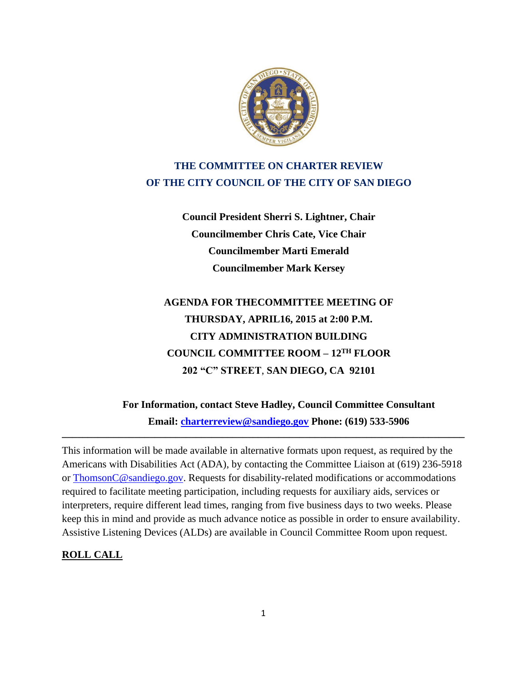

# **THE COMMITTEE ON CHARTER REVIEW OF THE CITY COUNCIL OF THE CITY OF SAN DIEGO**

**Council President Sherri S. Lightner, Chair Councilmember Chris Cate, Vice Chair Councilmember Marti Emerald Councilmember Mark Kersey**

# **AGENDA FOR THECOMMITTEE MEETING OF THURSDAY, APRIL16, 2015 at 2:00 P.M. CITY ADMINISTRATION BUILDING COUNCIL COMMITTEE ROOM – 12TH FLOOR 202 "C" STREET**, **SAN DIEGO, CA 92101**

**For Information, contact Steve Hadley, Council Committee Consultant Email: [charterreview@sandiego.gov](mailto:charterreview@sandiego.gov) Phone: (619) 533-5906** 

This information will be made available in alternative formats upon request, as required by the Americans with Disabilities Act (ADA), by contacting the Committee Liaison at (619) 236-5918 or ThomsonC@sandiego.gov. Requests for disability-related modifications or accommodations required to facilitate meeting participation, including requests for auxiliary aids, services or interpreters, require different lead times, ranging from five business days to two weeks. Please keep this in mind and provide as much advance notice as possible in order to ensure availability. Assistive Listening Devices (ALDs) are available in Council Committee Room upon request.

**\_\_\_\_\_\_\_\_\_\_\_\_\_\_\_\_\_\_\_\_\_\_\_\_\_\_\_\_\_\_\_\_\_\_\_\_\_\_\_\_\_\_\_\_\_\_\_\_\_\_\_\_\_\_\_\_\_\_\_\_\_\_\_\_\_\_\_\_\_\_\_\_\_\_\_\_\_\_**

#### **ROLL CALL**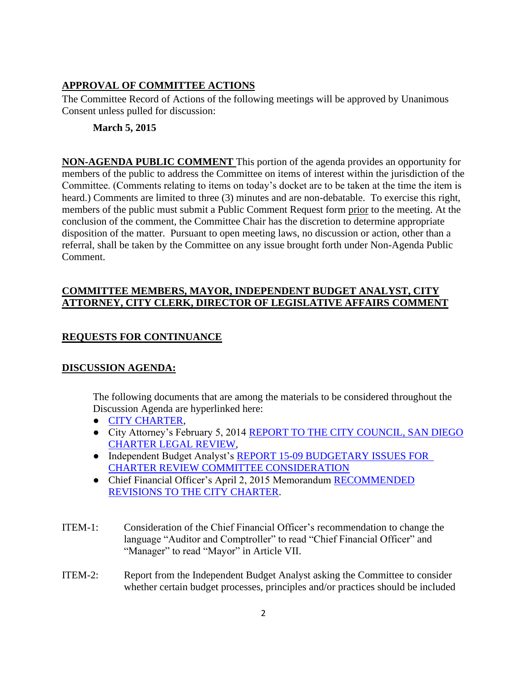## **APPROVAL OF COMMITTEE ACTIONS**

The Committee Record of Actions of the following meetings will be approved by Unanimous Consent unless pulled for discussion:

## **March 5, 2015**

**NON-AGENDA PUBLIC COMMENT** This portion of the agenda provides an opportunity for members of the public to address the Committee on items of interest within the jurisdiction of the Committee. (Comments relating to items on today's docket are to be taken at the time the item is heard.) Comments are limited to three (3) minutes and are non-debatable. To exercise this right, members of the public must submit a Public Comment Request form prior to the meeting. At the conclusion of the comment, the Committee Chair has the discretion to determine appropriate disposition of the matter. Pursuant to open meeting laws, no discussion or action, other than a referral, shall be taken by the Committee on any issue brought forth under Non-Agenda Public Comment.

#### **COMMITTEE MEMBERS, MAYOR, INDEPENDENT BUDGET ANALYST, CITY ATTORNEY, CITY CLERK, DIRECTOR OF LEGISLATIVE AFFAIRS COMMENT**

# **REQUESTS FOR CONTINUANCE**

#### **DISCUSSION AGENDA:**

The following documents that are among the materials to be considered throughout the Discussion Agenda are hyperlinked here:

- [CITY CHARTER,](http://www.sandiego.gov/city-clerk/officialdocs/legisdocs/charter.shtml)
- City Attorney's February 5, 2014 [REPORT TO THE CITY COUNCIL, SAN DIEGO](http://docs.sandiego.gov/councilcomm_agendas_attach/2015/cr_150416_ca.pdf) [CHARTER LEGAL REVIEW,](http://docs.sandiego.gov/councilcomm_agendas_attach/2015/cr_150416_ca.pdf)
- Independent Budget Analyst's REPORT 15-09 [BUDGETARY ISSUES FOR](http://docs.sandiego.gov/councilcomm_agendas_attach/2015/cr_150416_iba.pdf)  [CHARTER REVIEW COMMITTEE CONSIDERATION](http://docs.sandiego.gov/councilcomm_agendas_attach/2015/cr_150416_iba.pdf)
- Chief Financial Officer's April 2, 2015 Memorandum [RECOMMENDED](http://docs.sandiego.gov/councilcomm_agendas_attach/2015/cr_150416_cfo.pdf)  [REVISIONS TO THE CITY CHARTER.](http://docs.sandiego.gov/councilcomm_agendas_attach/2015/cr_150416_cfo.pdf)
- ITEM-1: Consideration of the Chief Financial Officer's recommendation to change the language "Auditor and Comptroller" to read "Chief Financial Officer" and "Manager" to read "Mayor" in Article VII.
- ITEM-2: Report from the Independent Budget Analyst asking the Committee to consider whether certain budget processes, principles and/or practices should be included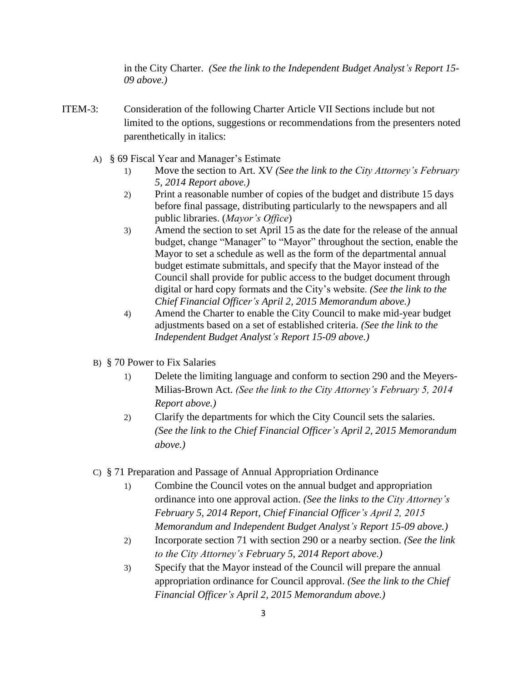in the City Charter. *(See the link to the Independent Budget Analyst's Report 15- 09 above.)*

- ITEM-3: Consideration of the following Charter Article VII Sections include but not limited to the options, suggestions or recommendations from the presenters noted parenthetically in italics:
	- A) § 69 Fiscal Year and Manager's Estimate
		- 1) Move the section to Art. XV *(See the link to the City Attorney's February 5, 2014 Report above.)*
		- 2) Print a reasonable number of copies of the budget and distribute 15 days before final passage, distributing particularly to the newspapers and all public libraries. (*Mayor's Office*)
		- 3) Amend the section to set April 15 as the date for the release of the annual budget, change "Manager" to "Mayor" throughout the section, enable the Mayor to set a schedule as well as the form of the departmental annual budget estimate submittals, and specify that the Mayor instead of the Council shall provide for public access to the budget document through digital or hard copy formats and the City's website. *(See the link to the Chief Financial Officer's April 2, 2015 Memorandum above.)*
		- 4) Amend the Charter to enable the City Council to make mid-year budget adjustments based on a set of established criteria. *(See the link to the Independent Budget Analyst's Report 15-09 above.)*
	- B) § 70 Power to Fix Salaries
		- 1) Delete the limiting language and conform to section 290 and the Meyers-Milias-Brown Act. *(See the link to the City Attorney's February 5, 2014 Report above.)*
		- 2) Clarify the departments for which the City Council sets the salaries. *(See the link to the Chief Financial Officer's April 2, 2015 Memorandum above.)*
	- C) § 71 Preparation and Passage of Annual Appropriation Ordinance
		- 1) Combine the Council votes on the annual budget and appropriation ordinance into one approval action. *(See the links to the City Attorney's February 5, 2014 Report, Chief Financial Officer's April 2, 2015 Memorandum and Independent Budget Analyst's Report 15-09 above.)*
		- 2) Incorporate section 71 with section 290 or a nearby section. *(See the link to the City Attorney's February 5, 2014 Report above.)*
		- 3) Specify that the Mayor instead of the Council will prepare the annual appropriation ordinance for Council approval. *(See the link to the Chief Financial Officer's April 2, 2015 Memorandum above.)*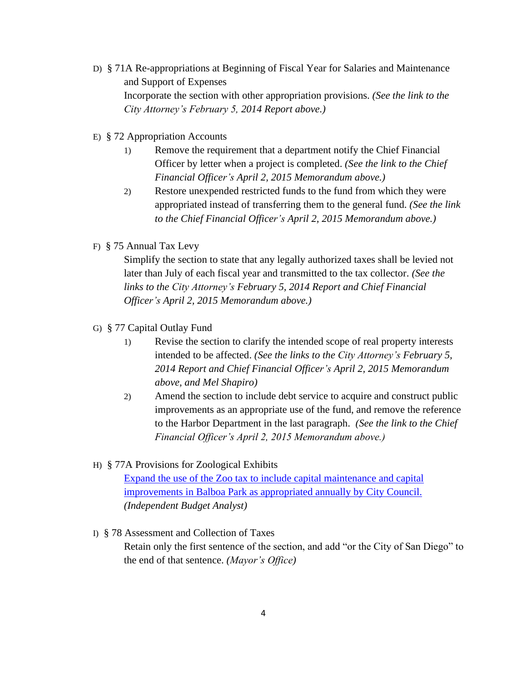- D) § 71A Re-appropriations at Beginning of Fiscal Year for Salaries and Maintenance and Support of Expenses Incorporate the section with other appropriation provisions. *(See the link to the City Attorney's February 5, 2014 Report above.)*
- E) § 72 Appropriation Accounts
	- 1) Remove the requirement that a department notify the Chief Financial Officer by letter when a project is completed. *(See the link to the Chief Financial Officer's April 2, 2015 Memorandum above.)*
	- 2) Restore unexpended restricted funds to the fund from which they were appropriated instead of transferring them to the general fund. *(See the link to the Chief Financial Officer's April 2, 2015 Memorandum above.)*
- F) § 75 Annual Tax Levy

Simplify the section to state that any legally authorized taxes shall be levied not later than July of each fiscal year and transmitted to the tax collector. *(See the links to the City Attorney's February 5, 2014 Report and Chief Financial Officer's April 2, 2015 Memorandum above.)*

- G) § 77 Capital Outlay Fund
	- 1) Revise the section to clarify the intended scope of real property interests intended to be affected. *(See the links to the City Attorney's February 5, 2014 Report and Chief Financial Officer's April 2, 2015 Memorandum above, and Mel Shapiro)*
	- 2) Amend the section to include debt service to acquire and construct public improvements as an appropriate use of the fund, and remove the reference to the Harbor Department in the last paragraph. *(See the link to the Chief Financial Officer's April 2, 2015 Memorandum above.)*
- H) § 77A Provisions for Zoological Exhibits

[Expand the use of the Zoo tax to include capital maintenance and capital](http://docs.sandiego.gov/councilcomm_agendas_attach/2015/cr_150416_3h.pdf) [improvements in Balboa Park as appropriated annually by City Council.](http://docs.sandiego.gov/councilcomm_agendas_attach/2015/cr_150416_3h.pdf) *(Independent Budget Analyst)*

I) § 78 Assessment and Collection of Taxes Retain only the first sentence of the section, and add "or the City of San Diego" to the end of that sentence. *(Mayor's Office)*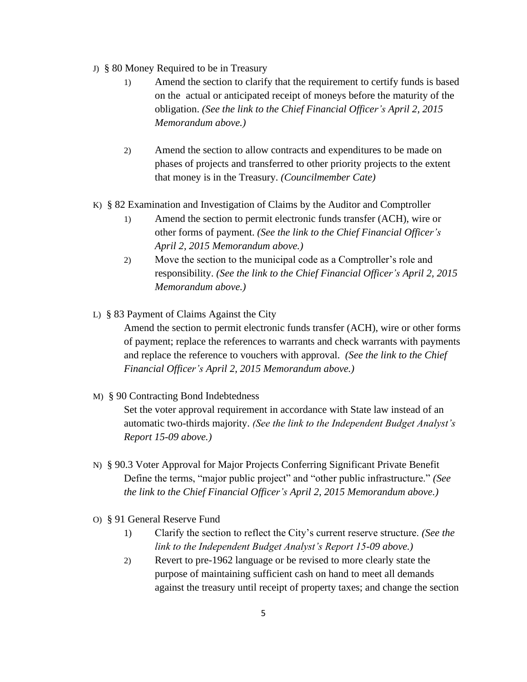- J) § 80 Money Required to be in Treasury
	- 1) Amend the section to clarify that the requirement to certify funds is based on the actual or anticipated receipt of moneys before the maturity of the obligation. *(See the link to the Chief Financial Officer's April 2, 2015 Memorandum above.)*
	- 2) Amend the section to allow contracts and expenditures to be made on phases of projects and transferred to other priority projects to the extent that money is in the Treasury. *(Councilmember Cate)*
- K) § 82 Examination and Investigation of Claims by the Auditor and Comptroller
	- 1) Amend the section to permit electronic funds transfer (ACH), wire or other forms of payment. *(See the link to the Chief Financial Officer's April 2, 2015 Memorandum above.)*
	- 2) Move the section to the municipal code as a Comptroller's role and responsibility. *(See the link to the Chief Financial Officer's April 2, 2015 Memorandum above.)*
- L) § 83 Payment of Claims Against the City

Amend the section to permit electronic funds transfer (ACH), wire or other forms of payment; replace the references to warrants and check warrants with payments and replace the reference to vouchers with approval. *(See the link to the Chief Financial Officer's April 2, 2015 Memorandum above.)*

M) § 90 Contracting Bond Indebtedness

Set the voter approval requirement in accordance with State law instead of an automatic two-thirds majority. *(See the link to the Independent Budget Analyst's Report 15-09 above.)*

- N) § 90.3 Voter Approval for Major Projects Conferring Significant Private Benefit Define the terms, "major public project" and "other public infrastructure." *(See the link to the Chief Financial Officer's April 2, 2015 Memorandum above.)*
- O) § 91 General Reserve Fund
	- 1) Clarify the section to reflect the City's current reserve structure. *(See the link to the Independent Budget Analyst's Report 15-09 above.)*
	- 2) Revert to pre-1962 language or be revised to more clearly state the purpose of maintaining sufficient cash on hand to meet all demands against the treasury until receipt of property taxes; and change the section